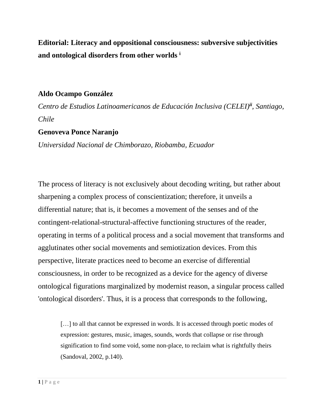**Editorial: Literacy and oppositional consciousness: subversive subjectivities and ontological disorders from other worlds <sup>i</sup>**

### **Aldo Ocampo González**

*Centro de Estudios Latinoamericanos de Educación Inclusiva (CELEI)ii , Santiago, Chile*

# **Genoveva Ponce Naranjo**

*Universidad Nacional de Chimborazo, Riobamba, Ecuador*

The process of literacy is not exclusively about decoding writing, but rather about sharpening a complex process of conscientization; therefore, it unveils a differential nature; that is, it becomes a movement of the senses and of the contingent-relational-structural-affective functioning structures of the reader, operating in terms of a political process and a social movement that transforms and agglutinates other social movements and semiotization devices. From this perspective, literate practices need to become an exercise of differential consciousness, in order to be recognized as a device for the agency of diverse ontological figurations marginalized by modernist reason, a singular process called 'ontological disorders'. Thus, it is a process that corresponds to the following,

[...] to all that cannot be expressed in words. It is accessed through poetic modes of expression: gestures, music, images, sounds, words that collapse or rise through signification to find some void, some non-place, to reclaim what is rightfully theirs (Sandoval, 2002, p.140).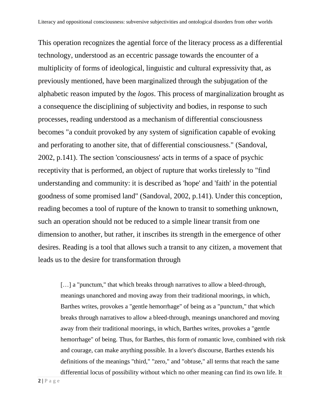This operation recognizes the agential force of the literacy process as a differential technology, understood as an eccentric passage towards the encounter of a multiplicity of forms of ideological, linguistic and cultural expressivity that, as previously mentioned, have been marginalized through the subjugation of the alphabetic reason imputed by the *logos*. This process of marginalization brought as a consequence the disciplining of subjectivity and bodies, in response to such processes, reading understood as a mechanism of differential consciousness becomes "a conduit provoked by any system of signification capable of evoking and perforating to another site, that of differential consciousness." (Sandoval, 2002, p.141). The section 'consciousness' acts in terms of a space of psychic receptivity that is performed, an object of rupture that works tirelessly to "find understanding and community: it is described as 'hope' and 'faith' in the potential goodness of some promised land" (Sandoval, 2002, p.141). Under this conception, reading becomes a tool of rupture of the known to transit to something unknown, such an operation should not be reduced to a simple linear transit from one dimension to another, but rather, it inscribes its strength in the emergence of other desires. Reading is a tool that allows such a transit to any citizen, a movement that leads us to the desire for transformation through

[...] a "punctum," that which breaks through narratives to allow a bleed-through, meanings unanchored and moving away from their traditional moorings, in which, Barthes writes, provokes a "gentle hemorrhage" of being as a "punctum," that which breaks through narratives to allow a bleed-through, meanings unanchored and moving away from their traditional moorings, in which, Barthes writes, provokes a "gentle hemorrhage" of being. Thus, for Barthes, this form of romantic love, combined with risk and courage, can make anything possible. In a lover's discourse, Barthes extends his definitions of the meanings "third," "zero," and "obtuse," all terms that reach the same differential locus of possibility without which no other meaning can find its own life. It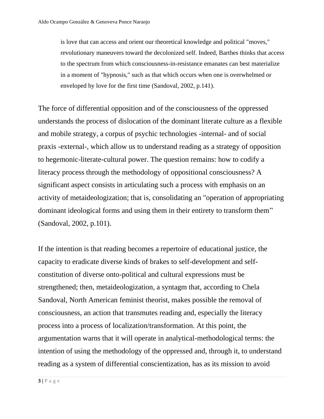is love that can access and orient our theoretical knowledge and political "moves," revolutionary maneuvers toward the decolonized self. Indeed, Barthes thinks that access to the spectrum from which consciousness-in-resistance emanates can best materialize in a moment of "hypnosis," such as that which occurs when one is overwhelmed or enveloped by love for the first time (Sandoval, 2002, p.141).

The force of differential opposition and of the consciousness of the oppressed understands the process of dislocation of the dominant literate culture as a flexible and mobile strategy, a corpus of psychic technologies -internal- and of social praxis -external-, which allow us to understand reading as a strategy of opposition to hegemonic-literate-cultural power. The question remains: how to codify a literacy process through the methodology of oppositional consciousness? A significant aspect consists in articulating such a process with emphasis on an activity of metaideologization; that is, consolidating an "operation of appropriating dominant ideological forms and using them in their entirety to transform them" (Sandoval, 2002, p.101).

If the intention is that reading becomes a repertoire of educational justice, the capacity to eradicate diverse kinds of brakes to self-development and selfconstitution of diverse onto-political and cultural expressions must be strengthened; then, metaideologization, a syntagm that, according to Chela Sandoval, North American feminist theorist, makes possible the removal of consciousness, an action that transmutes reading and, especially the literacy process into a process of localization/transformation. At this point, the argumentation warns that it will operate in analytical-methodological terms: the intention of using the methodology of the oppressed and, through it, to understand reading as a system of differential conscientization, has as its mission to avoid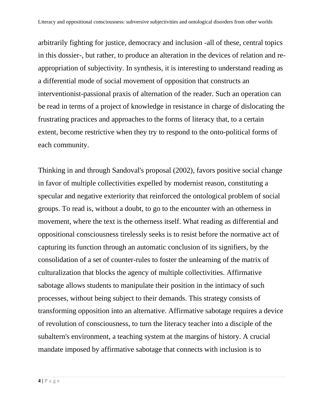arbitrarily fighting for justice, democracy and inclusion -all of these, central topics in this dossier-, but rather, to produce an alteration in the devices of relation and reappropriation of subjectivity. In synthesis, it is interesting to understand reading as a differential mode of social movement of opposition that constructs an interventionist-passional praxis of alternation of the reader. Such an operation can be read in terms of a project of knowledge in resistance in charge of dislocating the frustrating practices and approaches to the forms of literacy that, to a certain extent, become restrictive when they try to respond to the onto-political forms of each community.

Thinking in and through Sandoval's proposal (2002), favors positive social change in favor of multiple collectivities expelled by modernist reason, constituting a specular and negative exteriority that reinforced the ontological problem of social groups. To read is, without a doubt, to go to the encounter with an otherness in movement, where the text is the otherness itself. What reading as differential and oppositional consciousness tirelessly seeks is to resist before the normative act of capturing its function through an automatic conclusion of its signifiers, by the consolidation of a set of counter-rules to foster the unlearning of the matrix of culturalization that blocks the agency of multiple collectivities. Affirmative sabotage allows students to manipulate their position in the intimacy of such processes, without being subject to their demands. This strategy consists of transforming opposition into an alternative. Affirmative sabotage requires a device of revolution of consciousness, to turn the literacy teacher into a disciple of the subaltern's environment, a teaching system at the margins of history. A crucial mandate imposed by affirmative sabotage that connects with inclusion is to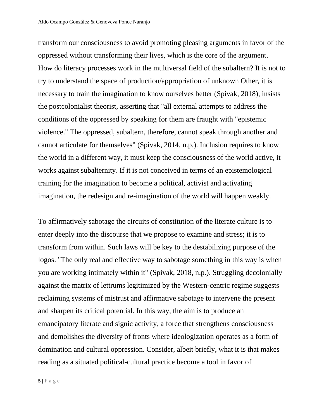transform our consciousness to avoid promoting pleasing arguments in favor of the oppressed without transforming their lives, which is the core of the argument. How do literacy processes work in the multiversal field of the subaltern? It is not to try to understand the space of production/appropriation of unknown Other, it is necessary to train the imagination to know ourselves better (Spivak, 2018), insists the postcolonialist theorist, asserting that "all external attempts to address the conditions of the oppressed by speaking for them are fraught with "epistemic violence." The oppressed, subaltern, therefore, cannot speak through another and cannot articulate for themselves" (Spivak, 2014, n.p.). Inclusion requires to know the world in a different way, it must keep the consciousness of the world active, it works against subalternity. If it is not conceived in terms of an epistemological training for the imagination to become a political, activist and activating imagination, the redesign and re-imagination of the world will happen weakly.

To affirmatively sabotage the circuits of constitution of the literate culture is to enter deeply into the discourse that we propose to examine and stress; it is to transform from within. Such laws will be key to the destabilizing purpose of the logos. "The only real and effective way to sabotage something in this way is when you are working intimately within it" (Spivak, 2018, n.p.). Struggling decolonially against the matrix of lettrums legitimized by the Western-centric regime suggests reclaiming systems of mistrust and affirmative sabotage to intervene the present and sharpen its critical potential. In this way, the aim is to produce an emancipatory literate and signic activity, a force that strengthens consciousness and demolishes the diversity of fronts where ideologization operates as a form of domination and cultural oppression. Consider, albeit briefly, what it is that makes reading as a situated political-cultural practice become a tool in favor of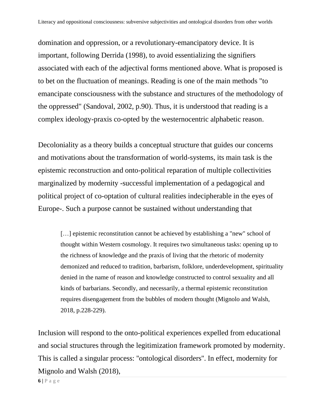domination and oppression, or a revolutionary-emancipatory device. It is important, following Derrida (1998), to avoid essentializing the signifiers associated with each of the adjectival forms mentioned above. What is proposed is to bet on the fluctuation of meanings. Reading is one of the main methods "to emancipate consciousness with the substance and structures of the methodology of the oppressed" (Sandoval, 2002, p.90). Thus, it is understood that reading is a complex ideology-praxis co-opted by the westernocentric alphabetic reason.

Decoloniality as a theory builds a conceptual structure that guides our concerns and motivations about the transformation of world-systems, its main task is the epistemic reconstruction and onto-political reparation of multiple collectivities marginalized by modernity -successful implementation of a pedagogical and political project of co-optation of cultural realities indecipherable in the eyes of Europe-. Such a purpose cannot be sustained without understanding that

[...] epistemic reconstitution cannot be achieved by establishing a "new" school of thought within Western cosmology. It requires two simultaneous tasks: opening up to the richness of knowledge and the praxis of living that the rhetoric of modernity demonized and reduced to tradition, barbarism, folklore, underdevelopment, spirituality denied in the name of reason and knowledge constructed to control sexuality and all kinds of barbarians. Secondly, and necessarily, a thermal epistemic reconstitution requires disengagement from the bubbles of modern thought (Mignolo and Walsh, 2018, p.228-229).

Inclusion will respond to the onto-political experiences expelled from educational and social structures through the legitimization framework promoted by modernity. This is called a singular process: ''ontological disorders''. In effect, modernity for Mignolo and Walsh (2018),

 $6$  |  $P$  a g e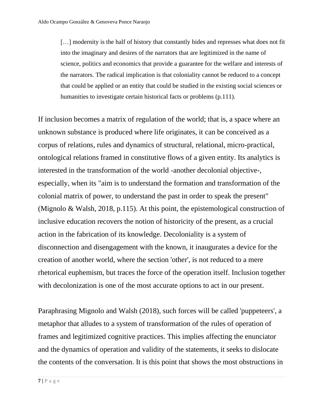[...] modernity is the half of history that constantly hides and represses what does not fit into the imaginary and desires of the narrators that are legitimized in the name of science, politics and economics that provide a guarantee for the welfare and interests of the narrators. The radical implication is that coloniality cannot be reduced to a concept that could be applied or an entity that could be studied in the existing social sciences or humanities to investigate certain historical facts or problems (p.111).

If inclusion becomes a matrix of regulation of the world; that is, a space where an unknown substance is produced where life originates, it can be conceived as a corpus of relations, rules and dynamics of structural, relational, micro-practical, ontological relations framed in constitutive flows of a given entity. Its analytics is interested in the transformation of the world -another decolonial objective-, especially, when its "aim is to understand the formation and transformation of the colonial matrix of power, to understand the past in order to speak the present" (Mignolo & Walsh, 2018, p.115). At this point, the epistemological construction of inclusive education recovers the notion of historicity of the present, as a crucial action in the fabrication of its knowledge. Decoloniality is a system of disconnection and disengagement with the known, it inaugurates a device for the creation of another world, where the section 'other', is not reduced to a mere rhetorical euphemism, but traces the force of the operation itself. Inclusion together with decolonization is one of the most accurate options to act in our present.

Paraphrasing Mignolo and Walsh (2018), such forces will be called 'puppeteers', a metaphor that alludes to a system of transformation of the rules of operation of frames and legitimized cognitive practices. This implies affecting the enunciator and the dynamics of operation and validity of the statements, it seeks to dislocate the contents of the conversation. It is this point that shows the most obstructions in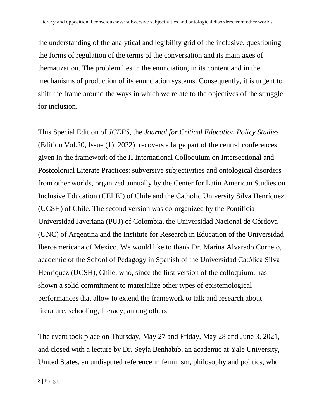the understanding of the analytical and legibility grid of the inclusive, questioning the forms of regulation of the terms of the conversation and its main axes of thematization. The problem lies in the enunciation, in its content and in the mechanisms of production of its enunciation systems. Consequently, it is urgent to shift the frame around the ways in which we relate to the objectives of the struggle for inclusion.

This Special Edition of *JCEPS*, the *Journal for Critical Education Policy Studies* (Edition Vol.20, Issue (1), 2022) recovers a large part of the central conferences given in the framework of the II International Colloquium on Intersectional and Postcolonial Literate Practices: subversive subjectivities and ontological disorders from other worlds, organized annually by the Center for Latin American Studies on Inclusive Education (CELEI) of Chile and the Catholic University Silva Henríquez (UCSH) of Chile. The second version was co-organized by the Pontificia Universidad Javeriana (PUJ) of Colombia, the Universidad Nacional de Córdova (UNC) of Argentina and the Institute for Research in Education of the Universidad Iberoamericana of Mexico. We would like to thank Dr. Marina Alvarado Cornejo, academic of the School of Pedagogy in Spanish of the Universidad Católica Silva Henríquez (UCSH), Chile, who, since the first version of the colloquium, has shown a solid commitment to materialize other types of epistemological performances that allow to extend the framework to talk and research about literature, schooling, literacy, among others.

The event took place on Thursday, May 27 and Friday, May 28 and June 3, 2021, and closed with a lecture by Dr. Seyla Benhabib, an academic at Yale University, United States, an undisputed reference in feminism, philosophy and politics, who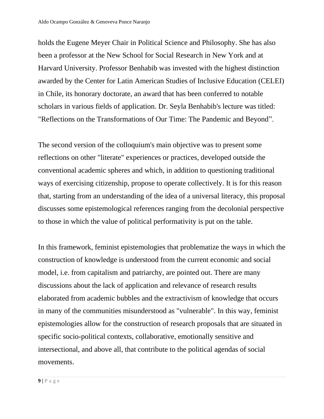holds the Eugene Meyer Chair in Political Science and Philosophy. She has also been a professor at the New School for Social Research in New York and at Harvard University. Professor Benhabib was invested with the highest distinction awarded by the Center for Latin American Studies of Inclusive Education (CELEI) in Chile, its honorary doctorate, an award that has been conferred to notable scholars in various fields of application. Dr. Seyla Benhabib's lecture was titled: "Reflections on the Transformations of Our Time: The Pandemic and Beyond".

The second version of the colloquium's main objective was to present some reflections on other "literate" experiences or practices, developed outside the conventional academic spheres and which, in addition to questioning traditional ways of exercising citizenship, propose to operate collectively. It is for this reason that, starting from an understanding of the idea of a universal literacy, this proposal discusses some epistemological references ranging from the decolonial perspective to those in which the value of political performativity is put on the table.

In this framework, feminist epistemologies that problematize the ways in which the construction of knowledge is understood from the current economic and social model, i.e. from capitalism and patriarchy, are pointed out. There are many discussions about the lack of application and relevance of research results elaborated from academic bubbles and the extractivism of knowledge that occurs in many of the communities misunderstood as "vulnerable". In this way, feminist epistemologies allow for the construction of research proposals that are situated in specific socio-political contexts, collaborative, emotionally sensitive and intersectional, and above all, that contribute to the political agendas of social movements.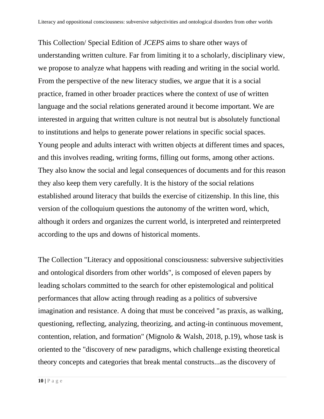This Collection/ Special Edition of *JCEPS* aims to share other ways of understanding written culture. Far from limiting it to a scholarly, disciplinary view, we propose to analyze what happens with reading and writing in the social world. From the perspective of the new literacy studies, we argue that it is a social practice, framed in other broader practices where the context of use of written language and the social relations generated around it become important. We are interested in arguing that written culture is not neutral but is absolutely functional to institutions and helps to generate power relations in specific social spaces. Young people and adults interact with written objects at different times and spaces, and this involves reading, writing forms, filling out forms, among other actions. They also know the social and legal consequences of documents and for this reason they also keep them very carefully. It is the history of the social relations established around literacy that builds the exercise of citizenship. In this line, this version of the colloquium questions the autonomy of the written word, which, although it orders and organizes the current world, is interpreted and reinterpreted according to the ups and downs of historical moments.

The Collection "Literacy and oppositional consciousness: subversive subjectivities and ontological disorders from other worlds", is composed of eleven papers by leading scholars committed to the search for other epistemological and political performances that allow acting through reading as a politics of subversive imagination and resistance. A doing that must be conceived "as praxis, as walking, questioning, reflecting, analyzing, theorizing, and acting-in continuous movement, contention, relation, and formation" (Mignolo & Walsh, 2018, p.19), whose task is oriented to the "discovery of new paradigms, which challenge existing theoretical theory concepts and categories that break mental constructs...as the discovery of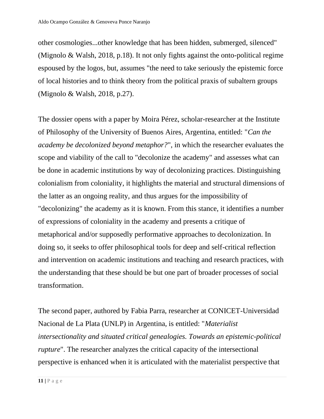other cosmologies...other knowledge that has been hidden, submerged, silenced" (Mignolo & Walsh, 2018, p.18). It not only fights against the onto-political regime espoused by the logos, but, assumes "the need to take seriously the epistemic force of local histories and to think theory from the political praxis of subaltern groups (Mignolo & Walsh, 2018, p.27).

The dossier opens with a paper by Moira Pérez, scholar-researcher at the Institute of Philosophy of the University of Buenos Aires, Argentina, entitled: "*Can the academy be decolonized beyond metaphor?*", in which the researcher evaluates the scope and viability of the call to "decolonize the academy" and assesses what can be done in academic institutions by way of decolonizing practices. Distinguishing colonialism from coloniality, it highlights the material and structural dimensions of the latter as an ongoing reality, and thus argues for the impossibility of "decolonizing" the academy as it is known. From this stance, it identifies a number of expressions of coloniality in the academy and presents a critique of metaphorical and/or supposedly performative approaches to decolonization. In doing so, it seeks to offer philosophical tools for deep and self-critical reflection and intervention on academic institutions and teaching and research practices, with the understanding that these should be but one part of broader processes of social transformation.

The second paper, authored by Fabia Parra, researcher at CONICET-Universidad Nacional de La Plata (UNLP) in Argentina, is entitled: "*Materialist intersectionality and situated critical genealogies. Towards an epistemic-political rupture*". The researcher analyzes the critical capacity of the intersectional perspective is enhanced when it is articulated with the materialist perspective that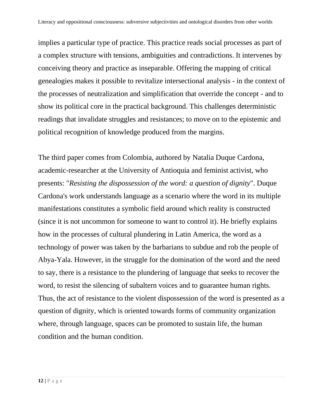implies a particular type of practice. This practice reads social processes as part of a complex structure with tensions, ambiguities and contradictions. It intervenes by conceiving theory and practice as inseparable. Offering the mapping of critical genealogies makes it possible to revitalize intersectional analysis - in the context of the processes of neutralization and simplification that override the concept - and to show its political core in the practical background. This challenges deterministic readings that invalidate struggles and resistances; to move on to the epistemic and political recognition of knowledge produced from the margins.

The third paper comes from Colombia, authored by Natalia Duque Cardona, academic-researcher at the University of Antioquia and feminist activist, who presents: "*Resisting the dispossession of the word: a question of dignity*". Duque Cardona's work understands language as a scenario where the word in its multiple manifestations constitutes a symbolic field around which reality is constructed (since it is not uncommon for someone to want to control it). He briefly explains how in the processes of cultural plundering in Latin America, the word as a technology of power was taken by the barbarians to subdue and rob the people of Abya-Yala. However, in the struggle for the domination of the word and the need to say, there is a resistance to the plundering of language that seeks to recover the word, to resist the silencing of subaltern voices and to guarantee human rights. Thus, the act of resistance to the violent dispossession of the word is presented as a question of dignity, which is oriented towards forms of community organization where, through language, spaces can be promoted to sustain life, the human condition and the human condition.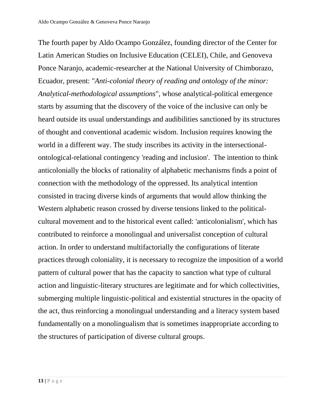The fourth paper by Aldo Ocampo González, founding director of the Center for Latin American Studies on Inclusive Education (CELEI), Chile, and Genoveva Ponce Naranjo, academic-researcher at the National University of Chimborazo, Ecuador, present: "*Anti-colonial theory of reading and ontology of the minor: Analytical-methodological assumptions*", whose analytical-political emergence starts by assuming that the discovery of the voice of the inclusive can only be heard outside its usual understandings and audibilities sanctioned by its structures of thought and conventional academic wisdom. Inclusion requires knowing the world in a different way. The study inscribes its activity in the intersectionalontological-relational contingency 'reading and inclusion'. The intention to think anticolonially the blocks of rationality of alphabetic mechanisms finds a point of connection with the methodology of the oppressed. Its analytical intention consisted in tracing diverse kinds of arguments that would allow thinking the Western alphabetic reason crossed by diverse tensions linked to the politicalcultural movement and to the historical event called: 'anticolonialism', which has contributed to reinforce a monolingual and universalist conception of cultural action. In order to understand multifactorially the configurations of literate practices through coloniality, it is necessary to recognize the imposition of a world pattern of cultural power that has the capacity to sanction what type of cultural action and linguistic-literary structures are legitimate and for which collectivities, submerging multiple linguistic-political and existential structures in the opacity of the act, thus reinforcing a monolingual understanding and a literacy system based fundamentally on a monolingualism that is sometimes inappropriate according to the structures of participation of diverse cultural groups.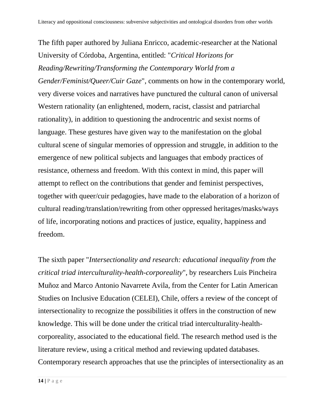The fifth paper authored by Juliana Enricco, academic-researcher at the National University of Córdoba, Argentina, entitled: "*Critical Horizons for Reading/Rewriting/Transforming the Contemporary World from a Gender/Feminist/Queer/Cuir Gaze*", comments on how in the contemporary world, very diverse voices and narratives have punctured the cultural canon of universal Western rationality (an enlightened, modern, racist, classist and patriarchal rationality), in addition to questioning the androcentric and sexist norms of language. These gestures have given way to the manifestation on the global cultural scene of singular memories of oppression and struggle, in addition to the emergence of new political subjects and languages that embody practices of resistance, otherness and freedom. With this context in mind, this paper will attempt to reflect on the contributions that gender and feminist perspectives, together with queer/cuir pedagogies, have made to the elaboration of a horizon of cultural reading/translation/rewriting from other oppressed heritages/masks/ways of life, incorporating notions and practices of justice, equality, happiness and freedom.

The sixth paper "*Intersectionality and research: educational inequality from the critical triad interculturality-health-corporeality*", by researchers Luis Pincheira Muñoz and Marco Antonio Navarrete Avila, from the Center for Latin American Studies on Inclusive Education (CELEI), Chile, offers a review of the concept of intersectionality to recognize the possibilities it offers in the construction of new knowledge. This will be done under the critical triad interculturality-healthcorporeality, associated to the educational field. The research method used is the literature review, using a critical method and reviewing updated databases. Contemporary research approaches that use the principles of intersectionality as an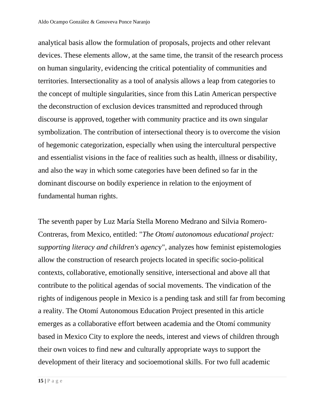analytical basis allow the formulation of proposals, projects and other relevant devices. These elements allow, at the same time, the transit of the research process on human singularity, evidencing the critical potentiality of communities and territories. Intersectionality as a tool of analysis allows a leap from categories to the concept of multiple singularities, since from this Latin American perspective the deconstruction of exclusion devices transmitted and reproduced through discourse is approved, together with community practice and its own singular symbolization. The contribution of intersectional theory is to overcome the vision of hegemonic categorization, especially when using the intercultural perspective and essentialist visions in the face of realities such as health, illness or disability, and also the way in which some categories have been defined so far in the dominant discourse on bodily experience in relation to the enjoyment of fundamental human rights.

The seventh paper by Luz María Stella Moreno Medrano and Silvia Romero-Contreras, from Mexico, entitled: "*The Otomí autonomous educational project: supporting literacy and children's agenc*y", analyzes how feminist epistemologies allow the construction of research projects located in specific socio-political contexts, collaborative, emotionally sensitive, intersectional and above all that contribute to the political agendas of social movements. The vindication of the rights of indigenous people in Mexico is a pending task and still far from becoming a reality. The Otomí Autonomous Education Project presented in this article emerges as a collaborative effort between academia and the Otomí community based in Mexico City to explore the needs, interest and views of children through their own voices to find new and culturally appropriate ways to support the development of their literacy and socioemotional skills. For two full academic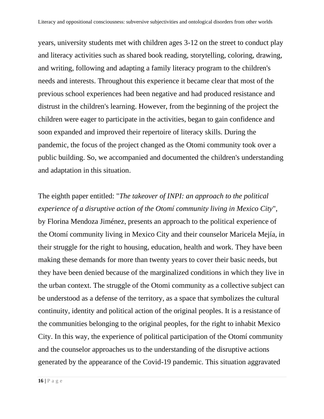years, university students met with children ages 3-12 on the street to conduct play and literacy activities such as shared book reading, storytelling, coloring, drawing, and writing, following and adapting a family literacy program to the children's needs and interests. Throughout this experience it became clear that most of the previous school experiences had been negative and had produced resistance and distrust in the children's learning. However, from the beginning of the project the children were eager to participate in the activities, began to gain confidence and soon expanded and improved their repertoire of literacy skills. During the pandemic, the focus of the project changed as the Otomi community took over a public building. So, we accompanied and documented the children's understanding and adaptation in this situation.

The eighth paper entitled: "*The takeover of INPI: an approach to the political experience of a disruptive action of the Otomí community living in Mexico City*", by Florina Mendoza Jiménez, presents an approach to the political experience of the Otomí community living in Mexico City and their counselor Maricela Mejía, in their struggle for the right to housing, education, health and work. They have been making these demands for more than twenty years to cover their basic needs, but they have been denied because of the marginalized conditions in which they live in the urban context. The struggle of the Otomi community as a collective subject can be understood as a defense of the territory, as a space that symbolizes the cultural continuity, identity and political action of the original peoples. It is a resistance of the communities belonging to the original peoples, for the right to inhabit Mexico City. In this way, the experience of political participation of the Otomí community and the counselor approaches us to the understanding of the disruptive actions generated by the appearance of the Covid-19 pandemic. This situation aggravated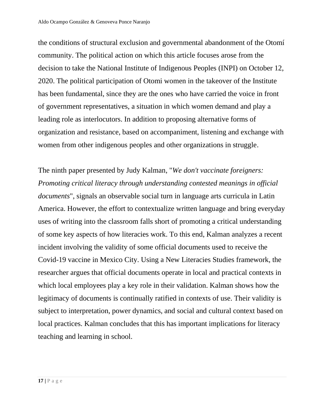the conditions of structural exclusion and governmental abandonment of the Otomí community. The political action on which this article focuses arose from the decision to take the National Institute of Indigenous Peoples (INPI) on October 12, 2020. The political participation of Otomi women in the takeover of the Institute has been fundamental, since they are the ones who have carried the voice in front of government representatives, a situation in which women demand and play a leading role as interlocutors. In addition to proposing alternative forms of organization and resistance, based on accompaniment, listening and exchange with women from other indigenous peoples and other organizations in struggle.

The ninth paper presented by Judy Kalman, "*We don't vaccinate foreigners: Promoting critical literacy through understanding contested meanings in official documents*", signals an observable social turn in language arts curricula in Latin America. However, the effort to contextualize written language and bring everyday uses of writing into the classroom falls short of promoting a critical understanding of some key aspects of how literacies work. To this end, Kalman analyzes a recent incident involving the validity of some official documents used to receive the Covid-19 vaccine in Mexico City. Using a New Literacies Studies framework, the researcher argues that official documents operate in local and practical contexts in which local employees play a key role in their validation. Kalman shows how the legitimacy of documents is continually ratified in contexts of use. Their validity is subject to interpretation, power dynamics, and social and cultural context based on local practices. Kalman concludes that this has important implications for literacy teaching and learning in school.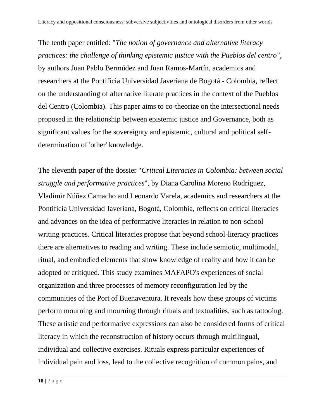The tenth paper entitled: "*The notion of governance and alternative literacy practices: the challenge of thinking epistemic justice with the Pueblos del centro*", by authors Juan Pablo Bermúdez and Juan Ramos-Martín, academics and researchers at the Pontificia Universidad Javeriana de Bogotá - Colombia, reflect on the understanding of alternative literate practices in the context of the Pueblos del Centro (Colombia). This paper aims to co-theorize on the intersectional needs proposed in the relationship between epistemic justice and Governance, both as significant values for the sovereignty and epistemic, cultural and political selfdetermination of 'other' knowledge.

The eleventh paper of the dossier "*Critical Literacies in Colombia: between social struggle and performative practices*", by Diana Carolina Moreno Rodríguez, Vladimir Núñez Camacho and Leonardo Varela, academics and researchers at the Pontificia Universidad Javeriana, Bogotá, Colombia, reflects on critical literacies and advances on the idea of performative literacies in relation to non-school writing practices. Critical literacies propose that beyond school-literacy practices there are alternatives to reading and writing. These include semiotic, multimodal, ritual, and embodied elements that show knowledge of reality and how it can be adopted or critiqued. This study examines MAFAPO's experiences of social organization and three processes of memory reconfiguration led by the communities of the Port of Buenaventura. It reveals how these groups of victims perform mourning and mourning through rituals and textualities, such as tattooing. These artistic and performative expressions can also be considered forms of critical literacy in which the reconstruction of history occurs through multilingual, individual and collective exercises. Rituals express particular experiences of individual pain and loss, lead to the collective recognition of common pains, and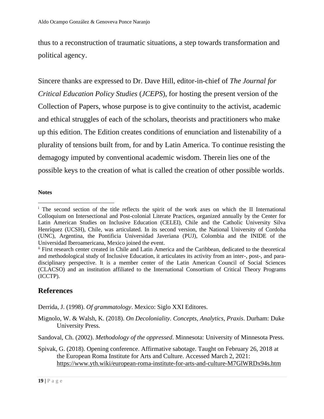thus to a reconstruction of traumatic situations, a step towards transformation and political agency.

Sincere thanks are expressed to Dr. Dave Hill, editor-in-chief of *The Journal for Critical Education Policy Studies* (*JCEPS*), for hosting the present version of the Collection of Papers, whose purpose is to give continuity to the activist, academic and ethical struggles of each of the scholars, theorists and practitioners who make up this edition. The Edition creates conditions of enunciation and listenability of a plurality of tensions built from, for and by Latin America. To continue resisting the demagogy imputed by conventional academic wisdom. Therein lies one of the possible keys to the creation of what is called the creation of other possible worlds.

#### **Notes**

### **References**

Derrida, J. (1998). *Of grammatology*. Mexico: Siglo XXI Editores.

Mignolo, W. & Walsh, K. (2018). *On Decoloniality. Concepts, Analytics, Praxis*. Durham: Duke University Press.

<sup>&</sup>lt;sup>i</sup> The second section of the title reflects the spirit of the work axes on which the II International Colloquium on Intersectional and Post-colonial Literate Practices, organized annually by the Center for Latin American Studies on Inclusive Education (CELEI), Chile and the Catholic University Silva Henríquez (UCSH), Chile, was articulated. In its second version, the National University of Cordoba (UNC), Argentina, the Pontificia Universidad Javeriana (PUJ), Colombia and the INIDE of the Universidad Iberoamericana, Mexico joined the event.

ii First research center created in Chile and Latin America and the Caribbean, dedicated to the theoretical and methodological study of Inclusive Education, it articulates its activity from an inter-, post-, and paradisciplinary perspective. It is a member center of the Latin American Council of Social Sciences (CLACSO) and an institution affiliated to the International Consortium of Critical Theory Programs (ICCTP).

Sandoval, Ch. (2002). *Methodology of the oppressed*. Minnesota: University of Minnesota Press.

Spivak, G. (2018). Opening conference. Affirmative sabotage. Taught on February 26, 2018 at the European Roma Institute for Arts and Culture. Accessed March 2, 2021: <https://www.yth.wiki/european-roma-institute-for-arts-and-culture-M7GlWRDx94s.htm>